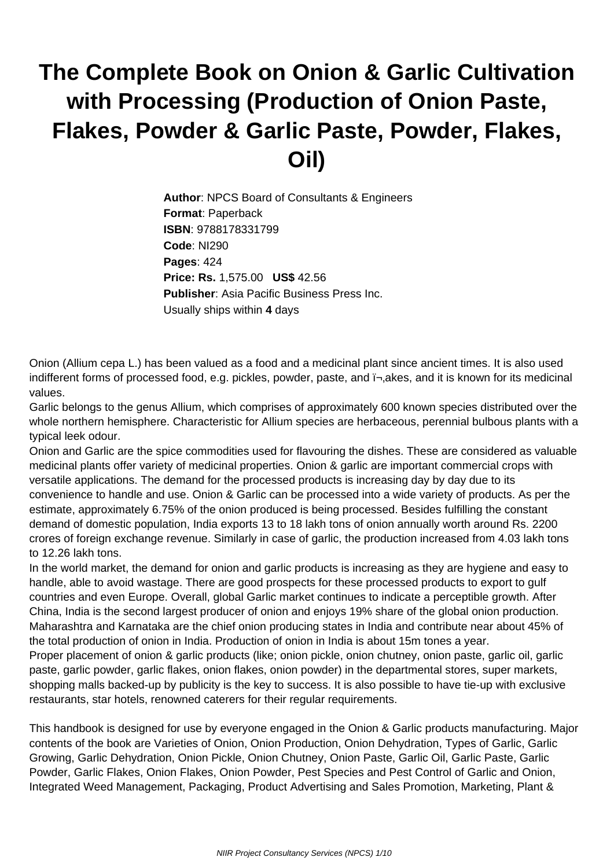## **The Complete Book on Onion & Garlic Cultivation with Processing (Production of Onion Paste, Flakes, Powder & Garlic Paste, Powder, Flakes, Oil)**

**Author**: NPCS Board of Consultants & Engineers **Format**: Paperback **ISBN**: 9788178331799 **Code**: NI290 **Pages**: 424 **Price: Rs.** 1,575.00 **US\$** 42.56 **Publisher**: Asia Pacific Business Press Inc. Usually ships within **4** days

Onion (Allium cepa L.) has been valued as a food and a medicinal plant since ancient times. It is also used indifferent forms of processed food, e.g. pickles, powder, paste, and  $\bar{r}$ , akes, and it is known for its medicinal values.

Garlic belongs to the genus Allium, which comprises of approximately 600 known species distributed over the whole northern hemisphere. Characteristic for Allium species are herbaceous, perennial bulbous plants with a typical leek odour.

Onion and Garlic are the spice commodities used for flavouring the dishes. These are considered as valuable medicinal plants offer variety of medicinal properties. Onion & garlic are important commercial crops with versatile applications. The demand for the processed products is increasing day by day due to its convenience to handle and use. Onion & Garlic can be processed into a wide variety of products. As per the estimate, approximately 6.75% of the onion produced is being processed. Besides fulfilling the constant demand of domestic population, India exports 13 to 18 lakh tons of onion annually worth around Rs. 2200 crores of foreign exchange revenue. Similarly in case of garlic, the production increased from 4.03 lakh tons to 12.26 lakh tons.

In the world market, the demand for onion and garlic products is increasing as they are hygiene and easy to handle, able to avoid wastage. There are good prospects for these processed products to export to gulf countries and even Europe. Overall, global Garlic market continues to indicate a perceptible growth. After China, India is the second largest producer of onion and enjoys 19% share of the global onion production. Maharashtra and Karnataka are the chief onion producing states in India and contribute near about 45% of the total production of onion in India. Production of onion in India is about 15m tones a year. Proper placement of onion & garlic products (like; onion pickle, onion chutney, onion paste, garlic oil, garlic paste, garlic powder, garlic flakes, onion flakes, onion powder) in the departmental stores, super markets, shopping malls backed-up by publicity is the key to success. It is also possible to have tie-up with exclusive restaurants, star hotels, renowned caterers for their regular requirements.

This handbook is designed for use by everyone engaged in the Onion & Garlic products manufacturing. Major contents of the book are Varieties of Onion, Onion Production, Onion Dehydration, Types of Garlic, Garlic Growing, Garlic Dehydration, Onion Pickle, Onion Chutney, Onion Paste, Garlic Oil, Garlic Paste, Garlic Powder, Garlic Flakes, Onion Flakes, Onion Powder, Pest Species and Pest Control of Garlic and Onion, Integrated Weed Management, Packaging, Product Advertising and Sales Promotion, Marketing, Plant &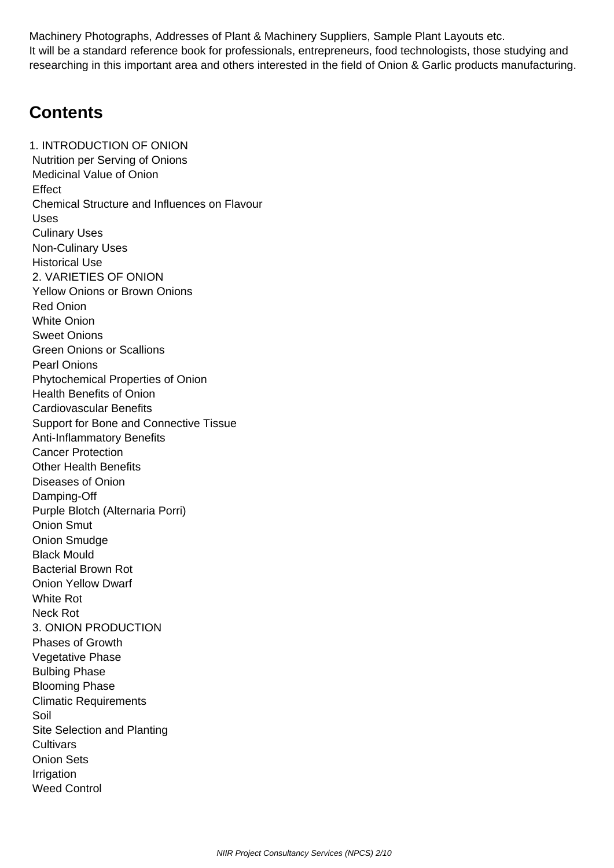Machinery Photographs, Addresses of Plant & Machinery Suppliers, Sample Plant Layouts etc. It will be a standard reference book for professionals, entrepreneurs, food technologists, those studying and researching in this important area and others interested in the field of Onion & Garlic products manufacturing.

## **Contents**

1. INTRODUCTION OF ONION Nutrition per Serving of Onions Medicinal Value of Onion **Effect**  Chemical Structure and Influences on Flavour Uses Culinary Uses Non-Culinary Uses Historical Use 2. VARIETIES OF ONION Yellow Onions or Brown Onions Red Onion White Onion Sweet Onions Green Onions or Scallions Pearl Onions Phytochemical Properties of Onion Health Benefits of Onion Cardiovascular Benefits Support for Bone and Connective Tissue Anti-Inflammatory Benefits Cancer Protection Other Health Benefits Diseases of Onion Damping-Off Purple Blotch (Alternaria Porri) Onion Smut Onion Smudge Black Mould Bacterial Brown Rot Onion Yellow Dwarf White Rot Neck Rot 3. ONION PRODUCTION Phases of Growth Vegetative Phase Bulbing Phase Blooming Phase Climatic Requirements Soil Site Selection and Planting **Cultivars**  Onion Sets **Irrigation** Weed Control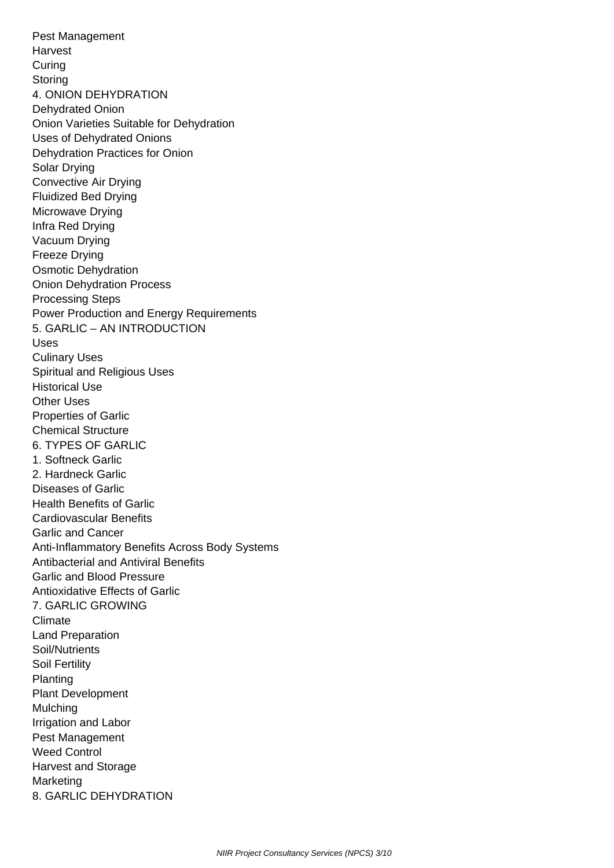Pest Management Harvest **Curing Storing**  4. ONION DEHYDRATION Dehydrated Onion Onion Varieties Suitable for Dehydration Uses of Dehydrated Onions Dehydration Practices for Onion Solar Drying Convective Air Drying Fluidized Bed Drying Microwave Drying Infra Red Drying Vacuum Drying Freeze Drying Osmotic Dehydration Onion Dehydration Process Processing Steps Power Production and Energy Requirements 5. GARLIC – AN INTRODUCTION Uses Culinary Uses Spiritual and Religious Uses Historical Use Other Uses Properties of Garlic Chemical Structure 6. TYPES OF GARLIC 1. Softneck Garlic 2. Hardneck Garlic Diseases of Garlic Health Benefits of Garlic Cardiovascular Benefits Garlic and Cancer Anti-Inflammatory Benefits Across Body Systems Antibacterial and Antiviral Benefits Garlic and Blood Pressure Antioxidative Effects of Garlic 7. GARLIC GROWING Climate Land Preparation Soil/Nutrients Soil Fertility Planting Plant Development Mulching Irrigation and Labor Pest Management Weed Control Harvest and Storage **Marketing** 8. GARLIC DEHYDRATION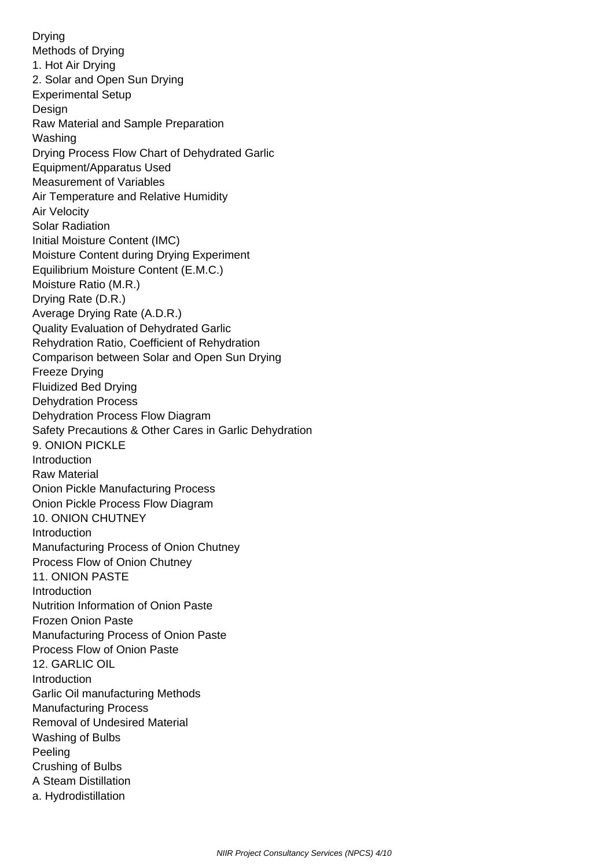Drying Methods of Drying 1. Hot Air Drying 2. Solar and Open Sun Drying Experimental Setup Design Raw Material and Sample Preparation Washing Drying Process Flow Chart of Dehydrated Garlic Equipment/Apparatus Used Measurement of Variables Air Temperature and Relative Humidity Air Velocity Solar Radiation Initial Moisture Content (IMC) Moisture Content during Drying Experiment Equilibrium Moisture Content (E.M.C.) Moisture Ratio (M.R.) Drying Rate (D.R.) Average Drying Rate (A.D.R.) Quality Evaluation of Dehydrated Garlic Rehydration Ratio, Coefficient of Rehydration Comparison between Solar and Open Sun Drying Freeze Drying Fluidized Bed Drying Dehydration Process Dehydration Process Flow Diagram Safety Precautions & Other Cares in Garlic Dehydration 9. ONION PICKLE Introduction Raw Material Onion Pickle Manufacturing Process Onion Pickle Process Flow Diagram 10. ONION CHUTNEY Introduction Manufacturing Process of Onion Chutney Process Flow of Onion Chutney 11. ONION PASTE Introduction Nutrition Information of Onion Paste Frozen Onion Paste Manufacturing Process of Onion Paste Process Flow of Onion Paste 12. GARLIC OIL Introduction Garlic Oil manufacturing Methods Manufacturing Process Removal of Undesired Material Washing of Bulbs Peeling Crushing of Bulbs A Steam Distillation a. Hydrodistillation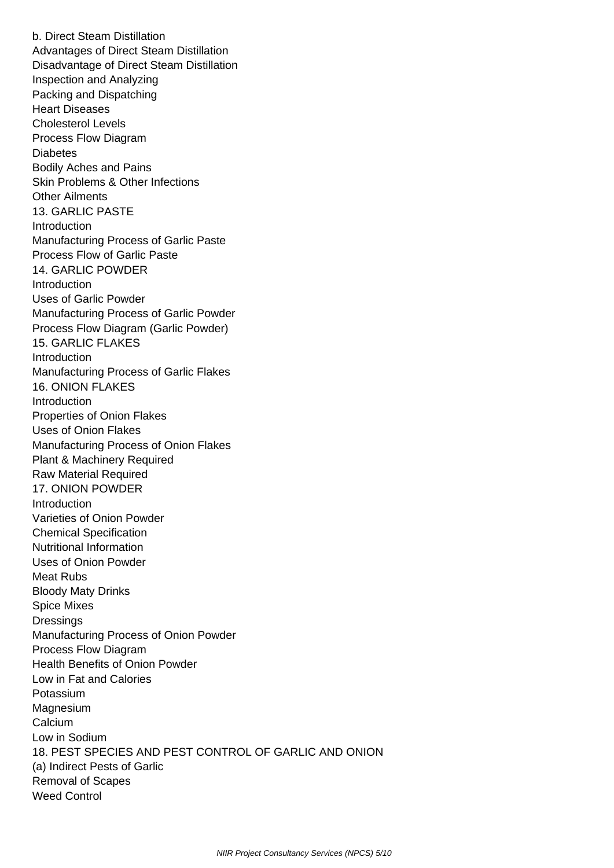b. Direct Steam Distillation Advantages of Direct Steam Distillation Disadvantage of Direct Steam Distillation Inspection and Analyzing Packing and Dispatching Heart Diseases Cholesterol Levels Process Flow Diagram **Diabetes**  Bodily Aches and Pains Skin Problems & Other Infections Other Ailments 13. GARLIC PASTE **Introduction**  Manufacturing Process of Garlic Paste Process Flow of Garlic Paste 14. GARLIC POWDER Introduction Uses of Garlic Powder Manufacturing Process of Garlic Powder Process Flow Diagram (Garlic Powder) 15. GARLIC FLAKES **Introduction**  Manufacturing Process of Garlic Flakes 16. ONION FLAKES Introduction Properties of Onion Flakes Uses of Onion Flakes Manufacturing Process of Onion Flakes Plant & Machinery Required Raw Material Required 17. ONION POWDER Introduction Varieties of Onion Powder Chemical Specification Nutritional Information Uses of Onion Powder Meat Rubs Bloody Maty Drinks Spice Mixes **Dressings**  Manufacturing Process of Onion Powder Process Flow Diagram Health Benefits of Onion Powder Low in Fat and Calories Potassium Magnesium **Calcium**  Low in Sodium 18. PEST SPECIES AND PEST CONTROL OF GARLIC AND ONION (a) Indirect Pests of Garlic Removal of Scapes Weed Control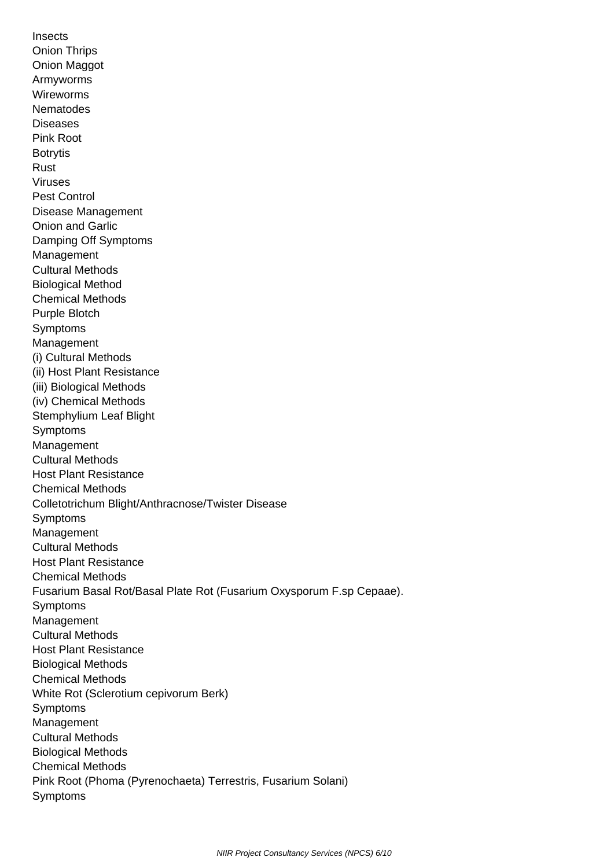**Insects**  Onion Thrips Onion Maggot Armyworms Wireworms **Nematodes**  Diseases Pink Root Botrytis Rust Viruses Pest Control Disease Management Onion and Garlic Damping Off Symptoms **Management**  Cultural Methods Biological Method Chemical Methods Purple Blotch Symptoms Management (i) Cultural Methods (ii) Host Plant Resistance (iii) Biological Methods (iv) Chemical Methods Stemphylium Leaf Blight Symptoms Management Cultural Methods Host Plant Resistance Chemical Methods Colletotrichum Blight/Anthracnose/Twister Disease **Symptoms**  Management Cultural Methods Host Plant Resistance Chemical Methods Fusarium Basal Rot/Basal Plate Rot (Fusarium Oxysporum F.sp Cepaae). Symptoms Management Cultural Methods Host Plant Resistance Biological Methods Chemical Methods White Rot (Sclerotium cepivorum Berk) **Symptoms**  Management Cultural Methods Biological Methods Chemical Methods Pink Root (Phoma (Pyrenochaeta) Terrestris, Fusarium Solani) Symptoms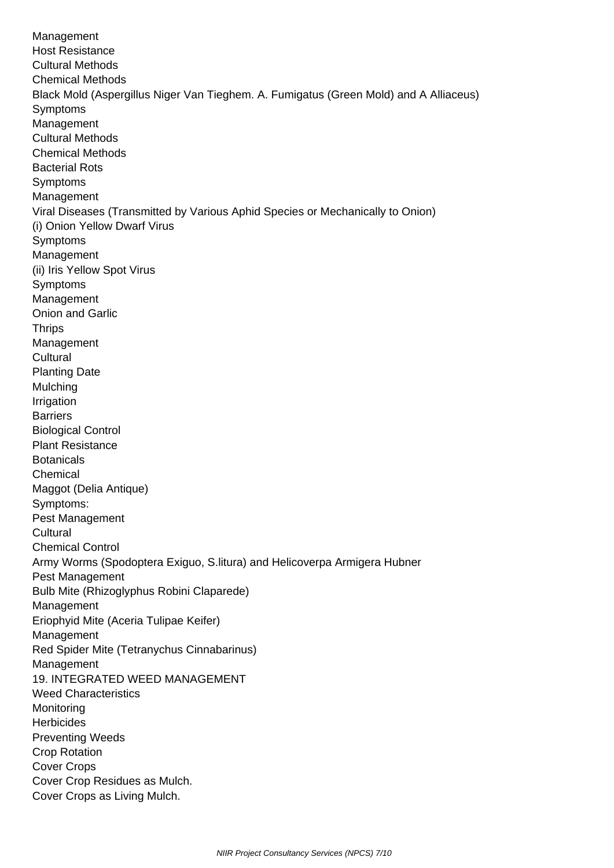Management Host Resistance Cultural Methods Chemical Methods Black Mold (Aspergillus Niger Van Tieghem. A. Fumigatus (Green Mold) and A Alliaceus) Symptoms Management Cultural Methods Chemical Methods Bacterial Rots Symptoms Management Viral Diseases (Transmitted by Various Aphid Species or Mechanically to Onion) (i) Onion Yellow Dwarf Virus Symptoms **Management**  (ii) Iris Yellow Spot Virus Symptoms Management Onion and Garlic **Thrips**  Management **Cultural**  Planting Date **Mulching Irrigation Barriers**  Biological Control Plant Resistance **Botanicals**  Chemical Maggot (Delia Antique) Symptoms: Pest Management **Cultural**  Chemical Control Army Worms (Spodoptera Exiguo, S.litura) and Helicoverpa Armigera Hubner Pest Management Bulb Mite (Rhizoglyphus Robini Claparede) Management Eriophyid Mite (Aceria Tulipae Keifer) Management Red Spider Mite (Tetranychus Cinnabarinus) Management 19. INTEGRATED WEED MANAGEMENT Weed Characteristics Monitoring **Herbicides**  Preventing Weeds Crop Rotation Cover Crops Cover Crop Residues as Mulch. Cover Crops as Living Mulch.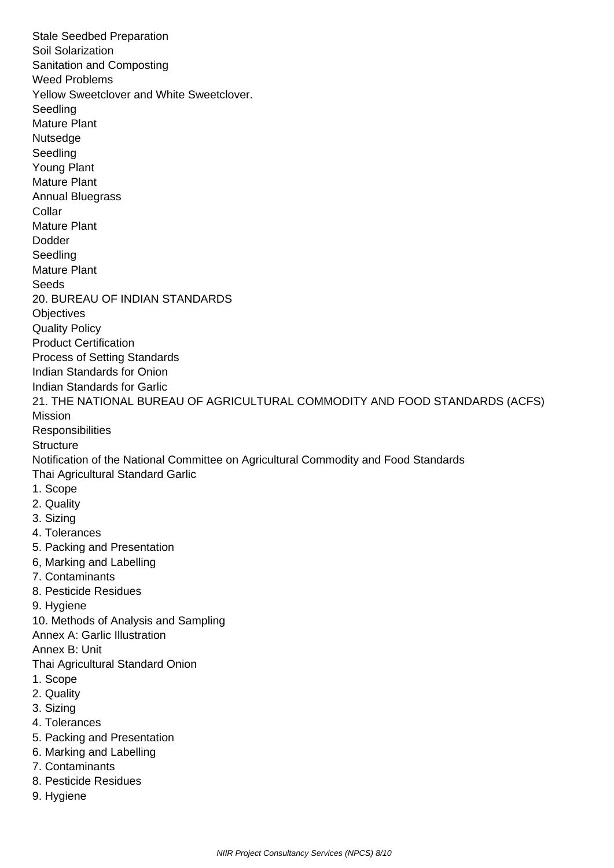Stale Seedbed Preparation Soil Solarization Sanitation and Composting Weed Problems Yellow Sweetclover and White Sweetclover. Seedling Mature Plant **Nutsedge Seedling**  Young Plant Mature Plant Annual Bluegrass Collar Mature Plant Dodder **Seedling**  Mature Plant **Seeds**  20. BUREAU OF INDIAN STANDARDS **Objectives**  Quality Policy Product Certification Process of Setting Standards Indian Standards for Onion Indian Standards for Garlic 21. THE NATIONAL BUREAU OF AGRICULTURAL COMMODITY AND FOOD STANDARDS (ACFS) Mission **Responsibilities Structure**  Notification of the National Committee on Agricultural Commodity and Food Standards Thai Agricultural Standard Garlic 1. Scope 2. Quality 3. Sizing 4. Tolerances 5. Packing and Presentation 6, Marking and Labelling 7. Contaminants 8. Pesticide Residues 9. Hygiene 10. Methods of Analysis and Sampling Annex A: Garlic Illustration Annex B: Unit Thai Agricultural Standard Onion 1. Scope 2. Quality 3. Sizing 4. Tolerances 5. Packing and Presentation 6. Marking and Labelling 7. Contaminants 8. Pesticide Residues 9. Hygiene

NIIR Project Consultancy Services (NPCS) 8/10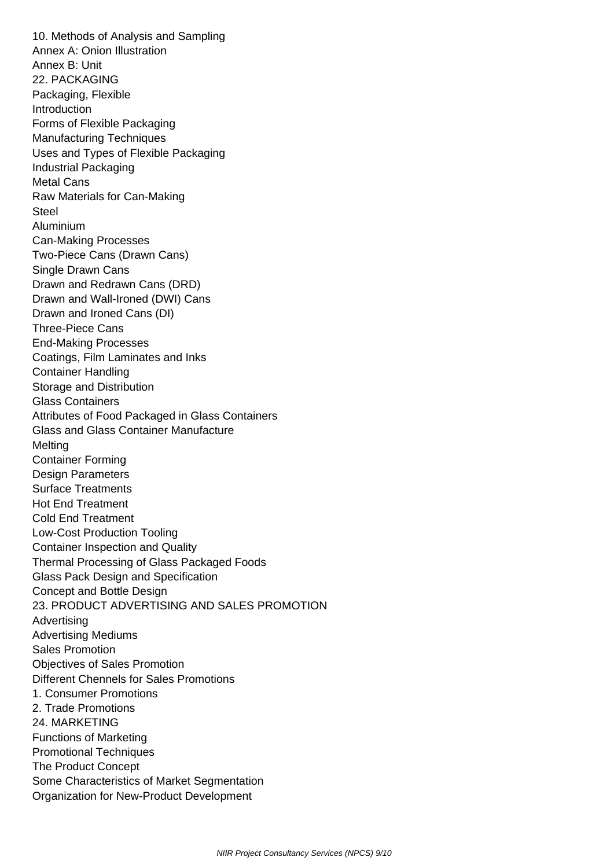10. Methods of Analysis and Sampling Annex A: Onion Illustration Annex B: Unit 22. PACKAGING Packaging, Flexible Introduction Forms of Flexible Packaging Manufacturing Techniques Uses and Types of Flexible Packaging Industrial Packaging Metal Cans Raw Materials for Can-Making **Steel**  Aluminium Can-Making Processes Two-Piece Cans (Drawn Cans) Single Drawn Cans Drawn and Redrawn Cans (DRD) Drawn and Wall-Ironed (DWI) Cans Drawn and Ironed Cans (DI) Three-Piece Cans End-Making Processes Coatings, Film Laminates and Inks Container Handling Storage and Distribution Glass Containers Attributes of Food Packaged in Glass Containers Glass and Glass Container Manufacture **Melting**  Container Forming Design Parameters Surface Treatments Hot End Treatment Cold End Treatment Low-Cost Production Tooling Container Inspection and Quality Thermal Processing of Glass Packaged Foods Glass Pack Design and Specification Concept and Bottle Design 23. PRODUCT ADVERTISING AND SALES PROMOTION Advertising Advertising Mediums Sales Promotion Objectives of Sales Promotion Different Chennels for Sales Promotions 1. Consumer Promotions 2. Trade Promotions 24. MARKETING Functions of Marketing Promotional Techniques The Product Concept Some Characteristics of Market Segmentation Organization for New-Product Development